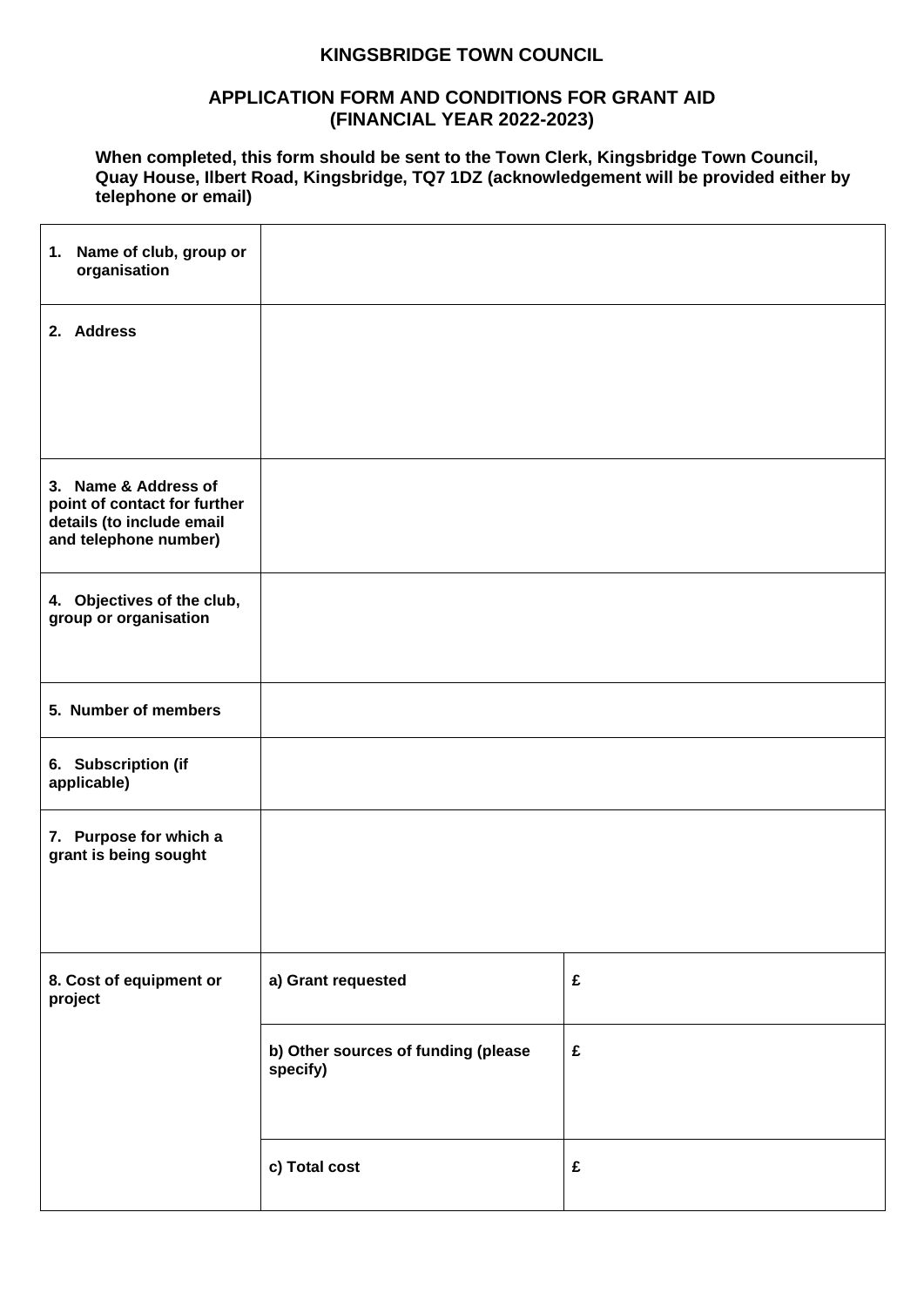## **KINGSBRIDGE TOWN COUNCIL**

## **APPLICATION FORM AND CONDITIONS FOR GRANT AID (FINANCIAL YEAR 2022-2023)**

**When completed, this form should be sent to the Town Clerk, Kingsbridge Town Council, Quay House, Ilbert Road, Kingsbridge, TQ7 1DZ (acknowledgement will be provided either by telephone or email)**

| 1. Name of club, group or<br>organisation                                                                  |                                                 |   |
|------------------------------------------------------------------------------------------------------------|-------------------------------------------------|---|
| 2. Address                                                                                                 |                                                 |   |
|                                                                                                            |                                                 |   |
|                                                                                                            |                                                 |   |
| 3. Name & Address of<br>point of contact for further<br>details (to include email<br>and telephone number) |                                                 |   |
| 4. Objectives of the club,<br>group or organisation                                                        |                                                 |   |
| 5. Number of members                                                                                       |                                                 |   |
| 6. Subscription (if<br>applicable)                                                                         |                                                 |   |
| 7. Purpose for which a<br>grant is being sought                                                            |                                                 |   |
|                                                                                                            |                                                 |   |
| 8. Cost of equipment or<br>project                                                                         | a) Grant requested                              | £ |
|                                                                                                            | b) Other sources of funding (please<br>specify) | £ |
|                                                                                                            |                                                 |   |
|                                                                                                            | c) Total cost                                   | £ |
|                                                                                                            |                                                 |   |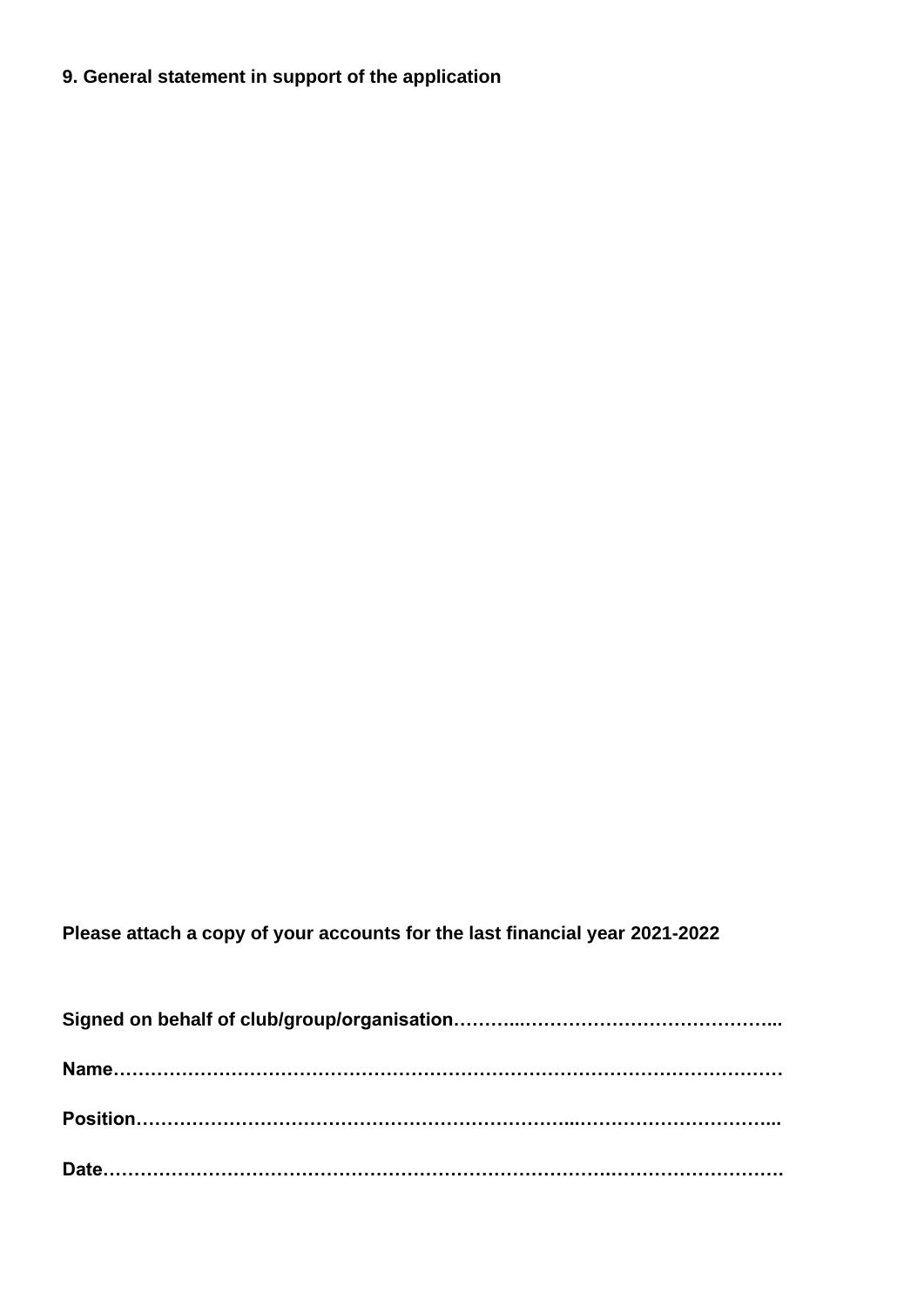## **9. General statement in support of the application**

**Please attach a copy of your accounts for the last financial year 2021-2022**